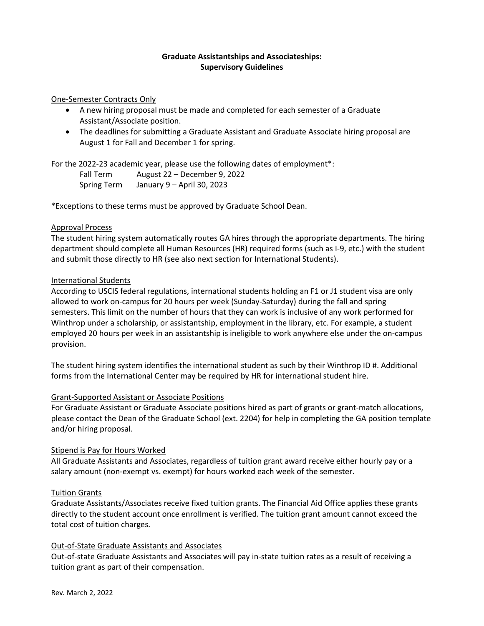#### **Graduate Assistantships and Associateships: Supervisory Guidelines**

#### One-Semester Contracts Only

- A new hiring proposal must be made and completed for each semester of a Graduate Assistant/Associate position.
- The deadlines for submitting a Graduate Assistant and Graduate Associate hiring proposal are August 1 for Fall and December 1 for spring.

For the 2022-23 academic year, please use the following dates of employment\*:

Fall Term August 22 – December 9, 2022 Spring Term January 9 – April 30, 2023

\*Exceptions to these terms must be approved by Graduate School Dean.

## Approval Process

The student hiring system automatically routes GA hires through the appropriate departments. The hiring department should complete all Human Resources (HR) required forms (such as I-9, etc.) with the student and submit those directly to HR (see also next section for International Students).

## International Students

According to USCIS federal regulations, international students holding an F1 or J1 student visa are only allowed to work on-campus for 20 hours per week (Sunday-Saturday) during the fall and spring semesters. This limit on the number of hours that they can work is inclusive of any work performed for Winthrop under a scholarship, or assistantship, employment in the library, etc. For example, a student employed 20 hours per week in an assistantship is ineligible to work anywhere else under the on-campus provision.

The student hiring system identifies the international student as such by their Winthrop ID #. Additional forms from the International Center may be required by HR for international student hire.

#### Grant-Supported Assistant or Associate Positions

For Graduate Assistant or Graduate Associate positions hired as part of grants or grant-match allocations, please contact the Dean of the Graduate School (ext. 2204) for help in completing the GA position template and/or hiring proposal.

#### Stipend is Pay for Hours Worked

All Graduate Assistants and Associates, regardless of tuition grant award receive either hourly pay or a salary amount (non-exempt vs. exempt) for hours worked each week of the semester.

#### Tuition Grants

Graduate Assistants/Associates receive fixed tuition grants. The Financial Aid Office applies these grants directly to the student account once enrollment is verified. The tuition grant amount cannot exceed the total cost of tuition charges.

#### Out-of-State Graduate Assistants and Associates

Out-of-state Graduate Assistants and Associates will pay in-state tuition rates as a result of receiving a tuition grant as part of their compensation.